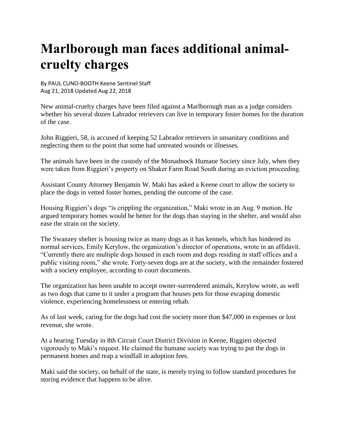## **Marlborough man faces additional animalcruelty charges**

By PAUL CUNO-BOOTH Keene Sentinel Staff Aug 21, 2018 Updated Aug 22, 2018

New animal-cruelty charges have been filed against a Marlborough man as a judge considers whether his several dozen Labrador retrievers can live in temporary foster homes for the duration of the case.

John Riggieri, 58, is accused of keeping 52 Labrador retrievers in unsanitary conditions and neglecting them to the point that some had untreated wounds or illnesses.

The animals have been in the custody of the Monadnock Humane Society since July, when they were taken from Riggieri's property on Shaker Farm Road South during an eviction proceeding.

Assistant County Attorney Benjamin W. Maki has asked a Keene court to allow the society to place the dogs in vetted foster homes, pending the outcome of the case.

Housing Riggieri's dogs "is crippling the organization," Maki wrote in an Aug. 9 motion. He argued temporary homes would be better for the dogs than staying in the shelter, and would also ease the strain on the society.

The Swanzey shelter is housing twice as many dogs as it has kennels, which has hindered its normal services, Emily Kerylow, the organization's director of operations, wrote in an affidavit. "Currently there are multiple dogs housed in each room and dogs residing in staff offices and a public visiting room," she wrote. Forty-seven dogs are at the society, with the remainder fostered with a society employee, according to court documents.

The organization has been unable to accept owner-surrendered animals, Kerylow wrote, as well as two dogs that came to it under a program that houses pets for those escaping domestic violence, experiencing homelessness or entering rehab.

As of last week, caring for the dogs had cost the society more than \$47,000 in expenses or lost revenue, she wrote.

At a hearing Tuesday in 8th Circuit Court District Division in Keene, Riggieri objected vigorously to Maki's request. He claimed the humane society was trying to put the dogs in permanent homes and reap a windfall in adoption fees.

Maki said the society, on behalf of the state, is merely trying to follow standard procedures for storing evidence that happens to be alive.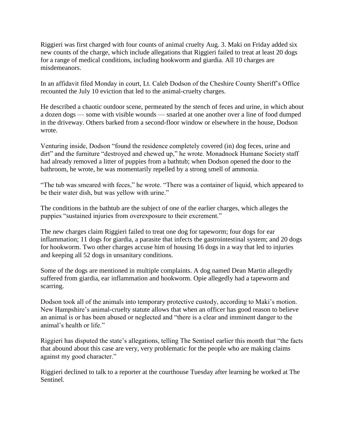Riggieri was first charged with four counts of animal cruelty Aug. 3. Maki on Friday added six new counts of the charge, which include allegations that Riggieri failed to treat at least 20 dogs for a range of medical conditions, including hookworm and giardia. All 10 charges are misdemeanors.

In an affidavit filed Monday in court, Lt. Caleb Dodson of the Cheshire County Sheriff's Office recounted the July 10 eviction that led to the animal-cruelty charges.

He described a chaotic outdoor scene, permeated by the stench of feces and urine, in which about a dozen dogs — some with visible wounds — snarled at one another over a line of food dumped in the driveway. Others barked from a second-floor window or elsewhere in the house, Dodson wrote.

Venturing inside, Dodson "found the residence completely covered (in) dog feces, urine and dirt" and the furniture "destroyed and chewed up," he wrote. Monadnock Humane Society staff had already removed a litter of puppies from a bathtub; when Dodson opened the door to the bathroom, he wrote, he was momentarily repelled by a strong smell of ammonia.

"The tub was smeared with feces," he wrote. "There was a container of liquid, which appeared to be their water dish, but was yellow with urine."

The conditions in the bathtub are the subject of one of the earlier charges, which alleges the puppies "sustained injuries from overexposure to their excrement."

The new charges claim Riggieri failed to treat one dog for tapeworm; four dogs for ear inflammation; 11 dogs for giardia, a parasite that infects the gastrointestinal system; and 20 dogs for hookworm. Two other charges accuse him of housing 16 dogs in a way that led to injuries and keeping all 52 dogs in unsanitary conditions.

Some of the dogs are mentioned in multiple complaints. A dog named Dean Martin allegedly suffered from giardia, ear inflammation and hookworm. Opie allegedly had a tapeworm and scarring.

Dodson took all of the animals into temporary protective custody, according to Maki's motion. New Hampshire's animal-cruelty statute allows that when an officer has good reason to believe an animal is or has been abused or neglected and "there is a clear and imminent danger to the animal's health or life."

Riggieri has disputed the state's allegations, telling The Sentinel earlier this month that "the facts that abound about this case are very, very problematic for the people who are making claims against my good character."

Riggieri declined to talk to a reporter at the courthouse Tuesday after learning he worked at The Sentinel.